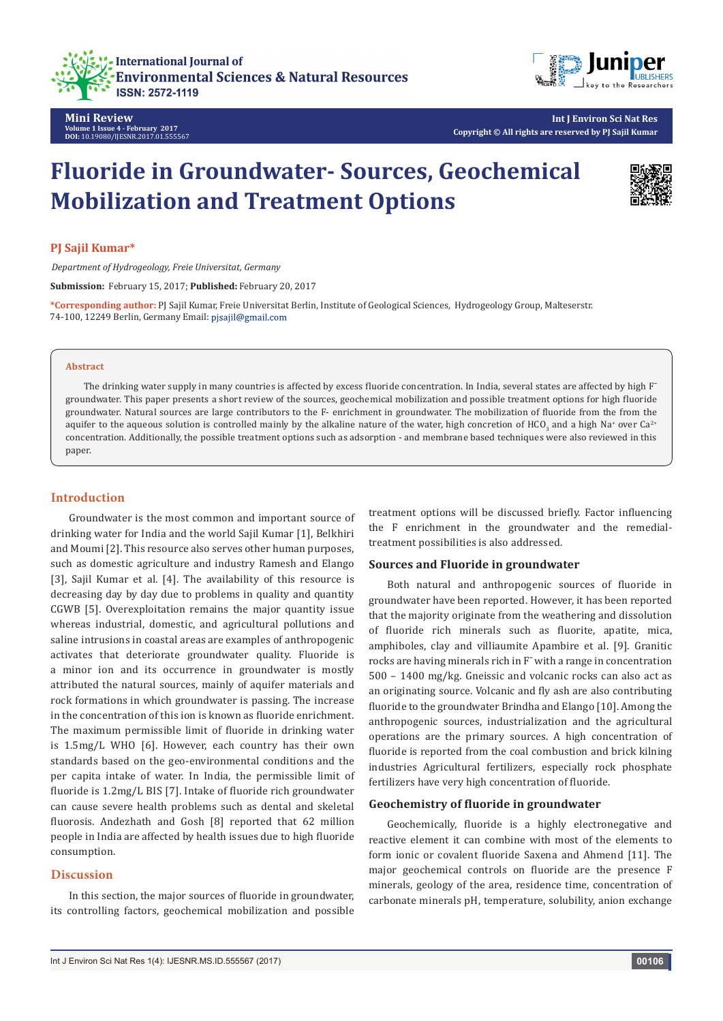



**Mini Review Volume 1 Issue 4 - February 2017 DOI:** [10.19080/IJESNR.2017.01.555567](http://dx.doi.org/10.19080/IJESNR.2017.01.555567
)

# **Fluoride in Groundwater- Sources, Geochemical Mobilization and Treatment Options**



## **PJ Sajil Kumar\***

*Department of Hydrogeology, Freie Universitat, Germany*

**Submission:** February 15, 2017; **Published:** February 20, 2017

**\*Corresponding author:** PJ Sajil Kumar, Freie Universitat Berlin, Institute of Geological Sciences, Hydrogeology Group, Malteserstr. 74-100, 12249 Berlin, Germany Email: pjsajil@gmail.com

#### **Abstract**

The drinking water supply in many countries is affected by excess fluoride concentration. In India, several states are affected by high F groundwater. This paper presents a short review of the sources, geochemical mobilization and possible treatment options for high fluoride groundwater. Natural sources are large contributors to the F- enrichment in groundwater. The mobilization of fluoride from the from the aquifer to the aqueous solution is controlled mainly by the alkaline nature of the water, high concretion of HCO $_3$  and a high Na+ over Ca<sup>2+</sup> concentration. Additionally, the possible treatment options such as adsorption - and membrane based techniques were also reviewed in this paper.

## **Introduction**

Groundwater is the most common and important source of drinking water for India and the world Sajil Kumar [1], Belkhiri and Moumi [2]. This resource also serves other human purposes, such as domestic agriculture and industry Ramesh and Elango [3], Sajil Kumar et al. [4]. The availability of this resource is decreasing day by day due to problems in quality and quantity CGWB [5]. Overexploitation remains the major quantity issue whereas industrial, domestic, and agricultural pollutions and saline intrusions in coastal areas are examples of anthropogenic activates that deteriorate groundwater quality. Fluoride is a minor ion and its occurrence in groundwater is mostly attributed the natural sources, mainly of aquifer materials and rock formations in which groundwater is passing. The increase in the concentration of this ion is known as fluoride enrichment. The maximum permissible limit of fluoride in drinking water is 1.5mg/L WHO [6]. However, each country has their own standards based on the geo-environmental conditions and the per capita intake of water. In India, the permissible limit of fluoride is 1.2mg/L BIS [7]. Intake of fluoride rich groundwater can cause severe health problems such as dental and skeletal fluorosis. Andezhath and Gosh [8] reported that 62 million people in India are affected by health issues due to high fluoride consumption.

## **Discussion**

In this section, the major sources of fluoride in groundwater, its controlling factors, geochemical mobilization and possible treatment options will be discussed briefly. Factor influencing the F enrichment in the groundwater and the remedialtreatment possibilities is also addressed.

## **Sources and Fluoride in groundwater**

Both natural and anthropogenic sources of fluoride in groundwater have been reported. However, it has been reported that the majority originate from the weathering and dissolution of fluoride rich minerals such as fluorite, apatite, mica, amphiboles, clay and villiaumite Apambire et al. [9]. Granitic rocks are having minerals rich in F¯ with a range in concentration 500 – 1400 mg/kg. Gneissic and volcanic rocks can also act as an originating source. Volcanic and fly ash are also contributing fluoride to the groundwater Brindha and Elango [10]. Among the anthropogenic sources, industrialization and the agricultural operations are the primary sources. A high concentration of fluoride is reported from the coal combustion and brick kilning industries Agricultural fertilizers, especially rock phosphate fertilizers have very high concentration of fluoride.

#### **Geochemistry of fluoride in groundwater**

Geochemically, fluoride is a highly electronegative and reactive element it can combine with most of the elements to form ionic or covalent fluoride Saxena and Ahmend [11]. The major geochemical controls on fluoride are the presence F minerals, geology of the area, residence time, concentration of carbonate minerals pH, temperature, solubility, anion exchange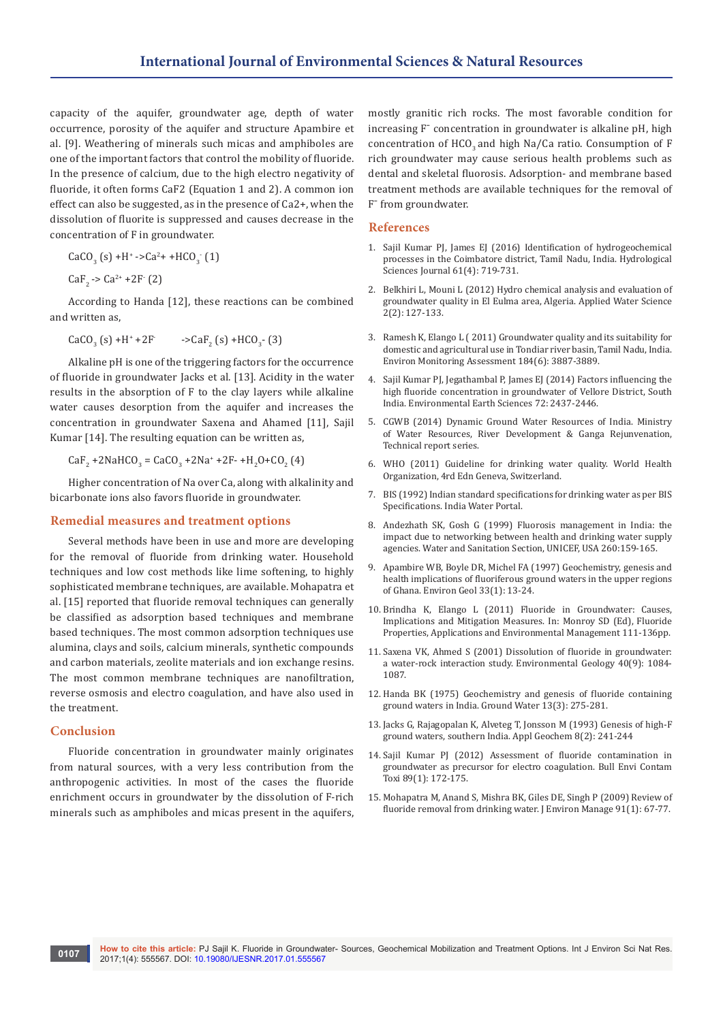capacity of the aquifer, groundwater age, depth of water occurrence, porosity of the aquifer and structure Apambire et al. [9]. Weathering of minerals such micas and amphiboles are one of the important factors that control the mobility of fluoride. In the presence of calcium, due to the high electro negativity of fluoride, it often forms CaF2 (Equation 1 and 2). A common ion effect can also be suggested, as in the presence of Ca2+, when the dissolution of fluorite is suppressed and causes decrease in the concentration of F in groundwater.

$$
CaCO_{3}(s) + H^{+} -2Ca^{2} + + HCO_{3}(1)
$$

 $CaF_2 \rightarrow Ca^{2+} + 2F^-(2)$ 

According to Handa [12], these reactions can be combined and written as,

$$
CaCO3 (s) + H+ + 2F \t\t - > CaF2 (s) + HCO3 (3)
$$

Alkaline pH is one of the triggering factors for the occurrence of fluoride in groundwater Jacks et al. [13]. Acidity in the water results in the absorption of F to the clay layers while alkaline water causes desorption from the aquifer and increases the concentration in groundwater Saxena and Ahamed [11], Sajil Kumar [14]. The resulting equation can be written as,

 $CaF_2 + 2NaHCO_3 = CaCO_3 + 2Na^* + 2F- H_2O + CO_2(4)$ 

Higher concentration of Na over Ca, along with alkalinity and bicarbonate ions also favors fluoride in groundwater.

#### **Remedial measures and treatment options**

Several methods have been in use and more are developing for the removal of fluoride from drinking water. Household techniques and low cost methods like lime softening, to highly sophisticated membrane techniques, are available. Mohapatra et al. [15] reported that fluoride removal techniques can generally be classified as adsorption based techniques and membrane based techniques. The most common adsorption techniques use alumina, clays and soils, calcium minerals, synthetic compounds and carbon materials, zeolite materials and ion exchange resins. The most common membrane techniques are nanofiltration, reverse osmosis and electro coagulation, and have also used in the treatment.

## **Conclusion**

Fluoride concentration in groundwater mainly originates from natural sources, with a very less contribution from the anthropogenic activities. In most of the cases the fluoride enrichment occurs in groundwater by the dissolution of F-rich minerals such as amphiboles and micas present in the aquifers,

mostly granitic rich rocks. The most favorable condition for increasing  $F<sub>-</sub>$  concentration in groundwater is alkaline pH, high concentration of HCO<sub>2</sub> and high Na/Ca ratio. Consumption of F rich groundwater may cause serious health problems such as dental and skeletal fluorosis. Adsorption- and membrane based treatment methods are available techniques for the removal of F<sup>-</sup> from groundwater.

#### **References**

- 1. [Sajil Kumar PJ, James EJ \(2016\) Identification of hydrogeochemical](http://www.tandfonline.com/doi/abs/10.1080/02626667.2015.1022551)  [processes in the Coimbatore district, Tamil Nadu, India. Hydrological](http://www.tandfonline.com/doi/abs/10.1080/02626667.2015.1022551)  [Sciences Journal 61\(4\): 719-731.](http://www.tandfonline.com/doi/abs/10.1080/02626667.2015.1022551)
- 2. [Belkhiri L, Mouni L \(2012\) Hydro chemical analysis and evaluation of](http://link.springer.com/article/10.1007/s13201-012-0033-6)  [groundwater quality in El Eulma area, Algeria. Applied Water Science](http://link.springer.com/article/10.1007/s13201-012-0033-6)  [2\(2\): 127-133.](http://link.springer.com/article/10.1007/s13201-012-0033-6)
- 3. [Ramesh K, Elango L \( 2011\) Groundwater quality and its suitability for](http://link.springer.com/article/10.1007/s10661-011-2231-3)  [domestic and agricultural use in Tondiar river basin, Tamil Nadu, India.](http://link.springer.com/article/10.1007/s10661-011-2231-3)  [Environ Monitoring Assessment 184\(6\): 3887-3889.](http://link.springer.com/article/10.1007/s10661-011-2231-3)
- 4. [Sajil Kumar PJ, Jegathambal P, James EJ \(2014\) Factors influencing the](http://link.springer.com/article/10.1007/s12665-014-3152-6)  [high fluoride concentration in groundwater of Vellore District, South](http://link.springer.com/article/10.1007/s12665-014-3152-6)  [India. Environmental Earth Sciences 72: 2437-2446.](http://link.springer.com/article/10.1007/s12665-014-3152-6)
- 5. [CGWB \(2014\) Dynamic Ground Water Resources of India. Ministry](http://www.cgwb.gov.in/documents/Dynamic-GW-Resources-2011.pdf)  [of Water Resources, River Development & Ganga Rejunvenation,](http://www.cgwb.gov.in/documents/Dynamic-GW-Resources-2011.pdf)  [Technical report series.](http://www.cgwb.gov.in/documents/Dynamic-GW-Resources-2011.pdf)
- 6. [WHO \(2011\) Guideline for drinking water quality. World Health](http://www.who.int/water_sanitation_health/dwq/gdwq0506.pdf)  [Organization, 4rd Edn Geneva, Switzerland.](http://www.who.int/water_sanitation_health/dwq/gdwq0506.pdf)
- 7. [BIS \(1992\) Indian standard specifications for drinking water as per BIS](http://www.indiawaterportal.org/articles/indian-standard-drinking-water-bis-specifications-10500-1991)  [Specifications. India Water Portal.](http://www.indiawaterportal.org/articles/indian-standard-drinking-water-bis-specifications-10500-1991)
- 8. [Andezhath SK, Gosh G \(1999\) Fluorosis management in India: the](http://hydrologie.org/redbooks/a260/iahs_260_0159.pdf)  [impact due to networking between health and drinking water supply](http://hydrologie.org/redbooks/a260/iahs_260_0159.pdf)  [agencies. Water and Sanitation Section, UNICEF, USA 260:159-165](http://hydrologie.org/redbooks/a260/iahs_260_0159.pdf).
- 9. [Apambire WB, Boyle DR, Michel FA \(1997\) Geochemistry, genesis and](http://link.springer.com/article/10.1007/s002540050221)  [health implications of fluoriferous ground waters in the upper regions](http://link.springer.com/article/10.1007/s002540050221)  [of Ghana. Environ Geol 33\(1\): 13-24.](http://link.springer.com/article/10.1007/s002540050221)
- 10. [Brindha K, Elango L \(2011\) Fluoride in Groundwater: Causes,](https://www.researchgate.net/publication/220000345_Fluoride_in_Groundwater_Causes_Implications_and_Mitigation_Measures)  [Implications and Mitigation Measures. In: Monroy SD \(Ed\), Fluoride](https://www.researchgate.net/publication/220000345_Fluoride_in_Groundwater_Causes_Implications_and_Mitigation_Measures)  [Properties, Applications and Environmental Management 111-136pp.](https://www.researchgate.net/publication/220000345_Fluoride_in_Groundwater_Causes_Implications_and_Mitigation_Measures)
- 11. [Saxena VK, Ahmed S \(2001\) Dissolution of fluoride in groundwater:](http://link.springer.com/article/10.1007/s002540100290)  [a water-rock interaction study. Environmental Geology 40\(9\): 1084-](http://link.springer.com/article/10.1007/s002540100290) [1087.](http://link.springer.com/article/10.1007/s002540100290)
- 12. [Handa BK \(1975\) Geochemistry and genesis of fluoride containing](http://onlinelibrary.wiley.com/doi/10.1111/j.1745-6584.1975.tb03086.x/abstract)  [ground waters in India. Ground Water 13\(3\): 275-281.](http://onlinelibrary.wiley.com/doi/10.1111/j.1745-6584.1975.tb03086.x/abstract)
- 13. [Jacks G, Rajagopalan K, Alveteg T, Jonsson M \(1993\) Genesis of high-F](http://www.sciencedirect.com/science/article/pii/S0883292709800437)  [ground waters, southern India. Appl Geochem 8\(2\): 241-244](http://www.sciencedirect.com/science/article/pii/S0883292709800437)
- 14. [Sajil Kumar PJ \(2012\) Assessment of fluoride contamination in](https://www.ncbi.nlm.nih.gov/pubmed/22526991)  [groundwater as precursor for electro coagulation. Bull Envi Contam](https://www.ncbi.nlm.nih.gov/pubmed/22526991)  [Toxi 89\(1\): 172-175](https://www.ncbi.nlm.nih.gov/pubmed/22526991).
- 15. [Mohapatra M, Anand S, Mishra BK, Giles DE, Singh P \(2009\) Review of](https://www.ncbi.nlm.nih.gov/pubmed/19775804)  [fluoride removal from drinking water. J Environ Manage 91\(1\): 67-77.](https://www.ncbi.nlm.nih.gov/pubmed/19775804)